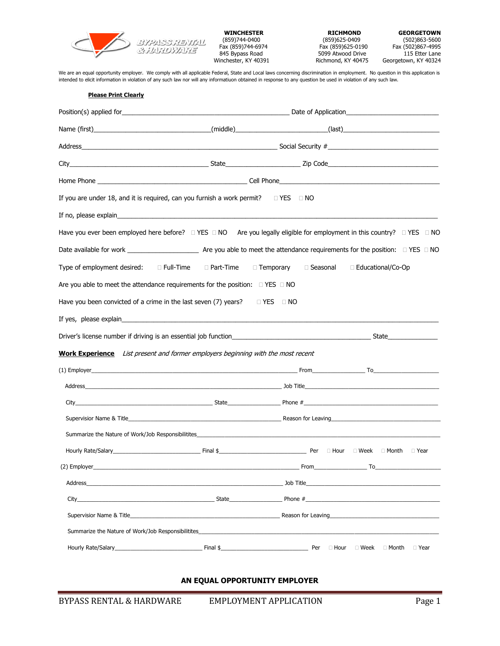

845 Bypass Road 5099 Atwood Drive<br>Winchester, KY 40391 Richmond, KY 40475

(859)744-0400 (859)625-0409 (859)625-0409 (859)744-0400 (859)744-0400 (859)625-0409 (859)744-0400 (859)744-040<br>Fax (859)744-6974 **Fax (859)625-0190** Fax (859)867-4995 Fax (859)744-6974 Fax (859)625-0190 Fax (502)867-4995 Georgetown, KY 40324

We are an equal opportunity employer. We comply with all applicable Federal, State and Local laws concerning discrimination in employment. No question in this application is intended to elicit information in violation of any such law nor will any informatiuon obtained in response to any question be used in violation of any such law.

| <b>Please Print Clearly</b>                                                                                                                                                                                                        |                                                                                                                                                                                                                                     |                           |                                          |  |  |  |  |
|------------------------------------------------------------------------------------------------------------------------------------------------------------------------------------------------------------------------------------|-------------------------------------------------------------------------------------------------------------------------------------------------------------------------------------------------------------------------------------|---------------------------|------------------------------------------|--|--|--|--|
|                                                                                                                                                                                                                                    |                                                                                                                                                                                                                                     |                           |                                          |  |  |  |  |
|                                                                                                                                                                                                                                    |                                                                                                                                                                                                                                     |                           |                                          |  |  |  |  |
|                                                                                                                                                                                                                                    | Address and the control of the control of the control of the Social Security #                                                                                                                                                      |                           |                                          |  |  |  |  |
|                                                                                                                                                                                                                                    |                                                                                                                                                                                                                                     |                           |                                          |  |  |  |  |
|                                                                                                                                                                                                                                    |                                                                                                                                                                                                                                     |                           |                                          |  |  |  |  |
| If you are under 18, and it is required, can you furnish a work permit?                                                                                                                                                            |                                                                                                                                                                                                                                     | $\Box$ YES $\Box$ NO      |                                          |  |  |  |  |
| If no, please explain the contract of the contract of the contract of the contract of the contract of the contract of the contract of the contract of the contract of the contract of the contract of the contract of the cont     |                                                                                                                                                                                                                                     |                           |                                          |  |  |  |  |
| Have you ever been employed here before? □ YES □ NO Are you legally eligible for employment in this country? □ YES □ NO                                                                                                            |                                                                                                                                                                                                                                     |                           |                                          |  |  |  |  |
|                                                                                                                                                                                                                                    |                                                                                                                                                                                                                                     |                           |                                          |  |  |  |  |
| Type of employment desired: Example Time                                                                                                                                                                                           | □ Part-Time                                                                                                                                                                                                                         | □ Temporary<br>□ Seasonal | □ Educational/Co-Op                      |  |  |  |  |
| Are you able to meet the attendance requirements for the position: $\Box$ YES $\Box$ NO                                                                                                                                            |                                                                                                                                                                                                                                     |                           |                                          |  |  |  |  |
| Have you been convicted of a crime in the last seven (7) years? $\square$ YES $\square$ NO                                                                                                                                         |                                                                                                                                                                                                                                     |                           |                                          |  |  |  |  |
|                                                                                                                                                                                                                                    |                                                                                                                                                                                                                                     |                           |                                          |  |  |  |  |
|                                                                                                                                                                                                                                    |                                                                                                                                                                                                                                     |                           |                                          |  |  |  |  |
| <b>Work Experience</b> List present and former employers beginning with the most recent                                                                                                                                            |                                                                                                                                                                                                                                     |                           |                                          |  |  |  |  |
|                                                                                                                                                                                                                                    |                                                                                                                                                                                                                                     |                           |                                          |  |  |  |  |
|                                                                                                                                                                                                                                    |                                                                                                                                                                                                                                     |                           |                                          |  |  |  |  |
|                                                                                                                                                                                                                                    |                                                                                                                                                                                                                                     |                           |                                          |  |  |  |  |
|                                                                                                                                                                                                                                    | Supervisior Name & Title <b>Example 2018</b> and 2019 and 2019 and 2019 and 2019 and 2019 and 2019 and 2019 and 2019 and 2019 and 2019 and 2019 and 2019 and 2019 and 2019 and 2019 and 2019 and 2019 and 2019 and 2019 and 2019 an |                           |                                          |  |  |  |  |
|                                                                                                                                                                                                                                    | Summarize the Nature of Work/Job Responsibilitites <b>Supplier 2018</b> and 2018 and 2018 and 2018 and 2018 and 2018 and 2018 and 2018 and 2018 and 2018 and 2018 and 2018 and 2018 and 2018 and 2018 and 2018 and 2018 and 2018 an |                           |                                          |  |  |  |  |
|                                                                                                                                                                                                                                    |                                                                                                                                                                                                                                     |                           |                                          |  |  |  |  |
| (2) Employer <b>To CONSIDER TO CONSIDER TO CONSIDER TO CONSIDER TO CONSIDER TO CONSIDER TO CONSIDER TO CONSIDER TO CONSIDER TO CONSIDER TO CONSIDER TO CONSIDER TO CONSIDER TO CONSIDER TO CONSIDER TO CONSIDER TO CONSIDER TO</b> |                                                                                                                                                                                                                                     |                           |                                          |  |  |  |  |
|                                                                                                                                                                                                                                    | Address and the control of the control of the control of the control of the control of the control of the control of the control of the control of the control of the control of the control of the control of the control of       |                           |                                          |  |  |  |  |
| City                                                                                                                                                                                                                               | $\blacksquare$ State $\blacksquare$ State $\blacksquare$ Phone $\#$                                                                                                                                                                 |                           |                                          |  |  |  |  |
|                                                                                                                                                                                                                                    | Supervisior Name & Title <b>Example 2018</b> Contract the Contract of Contract Contract Contract Contract Contract Contract Contract Contract Contract Contract Contract Contract Contract Contract Contract Contract Contract Cont |                           |                                          |  |  |  |  |
|                                                                                                                                                                                                                                    | Summarize the Nature of Work/Job Responsibilitites                                                                                                                                                                                  |                           |                                          |  |  |  |  |
|                                                                                                                                                                                                                                    | Hourly Rate/Salary Per                                                                                                                                                                                                              | $\Box$ Hour               | $\square$ Week<br>□ Year<br>$\Box$ Month |  |  |  |  |

## **AN EQUAL OPPORTUNITY EMPLOYER**